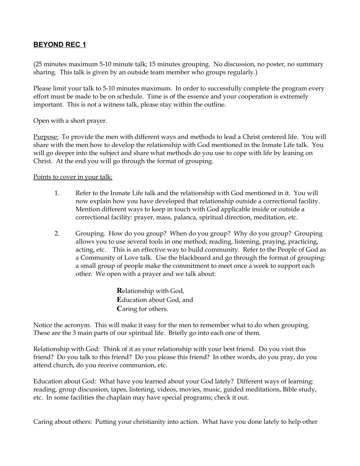## **BEYOND REC 1**

(25 minutes maximum 5-10 minute talk; 15 minutes grouping. No discussion, no poster, no summary sharing. This talk is given by an outside team member who groups regularly.)

Please limit your talk to 5-10 minutes maximum. In order to successfully complete the program every effort must be made to be on schedule. Time is of the essence and your cooperation is extremely important. This is not a witness talk, please stay within the outline.

Open with a short prayer.

Purpose: To provide the men with different ways and methods to lead a Christ centered life. You will share with the men how to develop the relationship with God mentioned in the Inmate Life talk. You will go deeper into the subject and share what methods do you use to cope with life by leaning on Christ. At the end you will go through the format of grouping.

## Points to cover in your talk:

- 1. Refer to the Inmate Life talk and the relationship with God mentioned in it. You will now explain how you have developed that relationship outside a correctional facility. Mention different ways to keep in touch with God applicable inside or outside a correctional facility: prayer, mass, palanca, spiritual direction, meditation, etc.
- 2. Grouping. How do you group? When do you group? Why do you group? Grouping allows you to use several tools in one method; reading, listening, praying, practicing, acting, etc. This is an effective way to build community. Refer to the People of God as a Community of Love talk. Use the blackboard and go through the format of grouping: a small group of people make the commitment to meet once a week to support each other. We open with a prayer and we talk about:

**R**elationship with God, **E**ducation about God, and **C**aring for others.

Notice the acronym. This will make it easy for the men to remember what to do when grouping. These are the 3 main parts of our spiritual life. Briefly go into each one of them.

Relationship with God: Think of it as your relationship with your best friend. Do you visit this friend? Do you talk to this friend? Do you please this friend? In other words, do you pray, do you attend church, do you receive communion, etc.

Education about God: What have you learned about your God lately? Different ways of learning: reading, group discussion, tapes, listening, videos, movies, music, guided meditations, Bible study, etc. In some facilities the chaplain may have special programs; check it out.

Caring about others: Putting your christianity into action. What have you done lately to help other